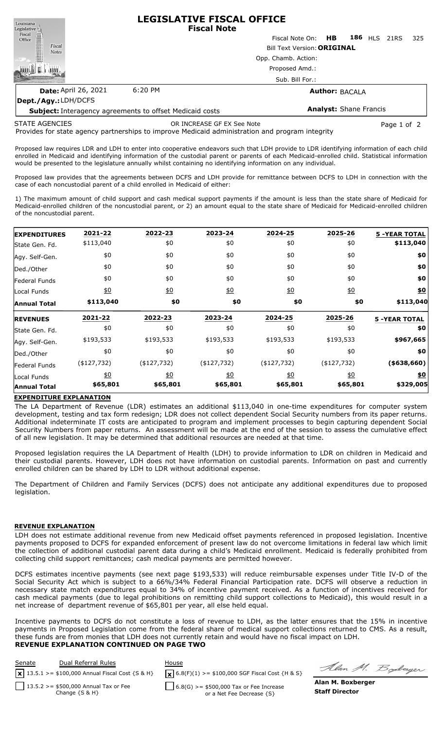

**Dept./Agy.:** LDH/DCFS

**Subject:** Interagency agreements to offset Medicaid costs **Analyst:** Shane Francis

STATE AGENCIES

OR INCREASE GF EX See Note **Page 1 of 2** and 2

Provides for state agency partnerships to improve Medicaid administration and program integrity

Proposed law requires LDR and LDH to enter into cooperative endeavors such that LDH provide to LDR identifying information of each child enrolled in Medicaid and identifying information of the custodial parent or parents of each Medicaid-enrolled child. Statistical information would be presented to the legislature annually whilst containing no identifying information on any individual.

Proposed law provides that the agreements between DCFS and LDH provide for remittance between DCFS to LDH in connection with the case of each noncustodial parent of a child enrolled in Medicaid of either:

1) The maximum amount of child support and cash medical support payments if the amount is less than the state share of Medicaid for Medicaid-enrolled children of the noncustodial parent, or 2) an amount equal to the state share of Medicaid for Medicaid-enrolled children of the noncustodial parent.

| <b>EXPENDITURES</b>                | 2021-22           | 2022-23          | 2023-24          | 2024-25        | 2025-26                   | <b>5 -YEAR TOTAL</b>    |
|------------------------------------|-------------------|------------------|------------------|----------------|---------------------------|-------------------------|
| State Gen. Fd.                     | \$113,040         | \$0              | \$0              | \$0            | \$0                       | \$113,040               |
| Agy. Self-Gen.                     | \$0               | \$0              | \$0              | \$0            | \$0                       | \$0                     |
| Ded./Other                         | \$0               | \$0              | \$0              | \$0            | \$0                       | \$0                     |
| <b>Federal Funds</b>               | \$0               | \$0              | \$0              | \$0            | \$0                       | \$0                     |
| Local Funds                        | $\underline{\$0}$ | $\underline{40}$ | $\underline{40}$ | $\frac{1}{2}$  | $\underline{\$0}$         | \$0                     |
| <b>Annual Total</b>                | \$113,040         | \$0              | \$0              | \$0            | \$0                       | \$113,040               |
| <b>REVENUES</b>                    | 2021-22           | 2022-23          | 2023-24          | 2024-25        | 2025-26                   | <b>5 -YEAR TOTAL</b>    |
| State Gen. Fd.                     | \$0               | \$0              | \$0              | \$0            | \$0                       | \$0                     |
| Agy. Self-Gen.                     | \$193,533         | \$193,533        | \$193,533        | \$193,533      | \$193,533                 | \$967,665               |
| Ded./Other                         | \$0               | \$0              | \$0              | \$0            | \$0                       | \$0                     |
| <b>Federal Funds</b>               | (4127, 732)       | $($ \$127,732)   | $($ \$127,732)   | $($ \$127,732) | $($ \$127,732)            | (\$38,660)              |
| Local Funds<br><b>Annual Total</b> | \$0<br>\$65,801   | 60<br>\$65,801   | 60<br>\$65,801   | 60<br>\$65,801 | $\frac{1}{2}$<br>\$65,801 | <u>\$0</u><br>\$329,005 |

## **EXPENDITURE EXPLANATION**

The LA Department of Revenue (LDR) estimates an additional \$113,040 in one-time expenditures for computer system development, testing and tax form redesign; LDR does not collect dependent Social Security numbers from its paper returns. Additional indeterminate IT costs are anticipated to program and implement processes to begin capturing dependent Social Security Numbers from paper returns. An assessment will be made at the end of the session to assess the cumulative effect of all new legislation. It may be determined that additional resources are needed at that time.

Proposed legislation requires the LA Department of Health (LDH) to provide information to LDR on children in Medicaid and their custodial parents. However, LDH does not have information on custodial parents. Information on past and currently enrolled children can be shared by LDH to LDR without additional expense.

The Department of Children and Family Services (DCFS) does not anticipate any additional expenditures due to proposed legislation.

# **REVENUE EXPLANATION**

LDH does not estimate additional revenue from new Medicaid offset payments referenced in proposed legislation. Incentive payments proposed to DCFS for expanded enforcement of present law do not overcome limitations in federal law which limit the collection of additional custodial parent data during a child's Medicaid enrollment. Medicaid is federally prohibited from collecting child support remittances; cash medical payments are permitted however.

DCFS estimates incentive payments (see next page \$193,533) will reduce reimbursable expenses under Title IV-D of the Social Security Act which is subject to a 66%/34% Federal Financial Participation rate. DCFS will observe a reduction in necessary state match expenditures equal to 34% of incentive payment received. As a function of incentives received for cash medical payments (due to legal prohibitions on remitting child support collections to Medicaid), this would result in a net increase of department revenue of \$65,801 per year, all else held equal.

Incentive payments to DCFS do not constitute a loss of revenue to LDH, as the latter ensures that the 15% in incentive payments in Proposed Legislation come from the federal share of medical support collections returned to CMS. As a result, these funds are from monies that LDH does not currently retain and would have no fiscal impact on LDH. **REVENUE EXPLANATION CONTINUED ON PAGE TWO**

| Senate | Dual Referral Rules<br>$\sqrt{\mathbf{x}}$ 13.5.1 >= \$100,000 Annual Fiscal Cost {S & H} | House<br>$\mathbf{X}$ 6.8(F)(1) >= \$100,000 SGF Fiscal Cost {H & S} | A            |
|--------|-------------------------------------------------------------------------------------------|----------------------------------------------------------------------|--------------|
|        | $\Box$ 13.5.2 > = \$500,000 Annual Tax or Fee                                             | $6.8(G) > = $500,000$ Tax or Fee Increase                            | Alan         |
|        | Change $\{S \& H\}$                                                                       | or a Net Fee Decrease {S}                                            | <b>Staff</b> |

Um M. Boderger

**Alan M. Boxberger Director**